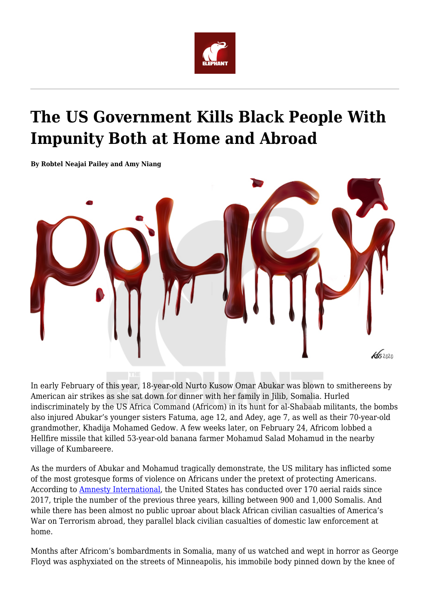

## **The US Government Kills Black People With Impunity Both at Home and Abroad**

**By Robtel Neajai Pailey and Amy Niang**



In early February of this year, 18-year-old Nurto Kusow Omar Abukar was blown to smithereens by American air strikes as she sat down for dinner with her family in Jilib, Somalia. Hurled indiscriminately by the US Africa Command (Africom) in its hunt for al-Shabaab militants, the bombs also injured Abukar's younger sisters Fatuma, age 12, and Adey, age 7, as well as their 70-year-old grandmother, Khadija Mohamed Gedow. A few weeks later, on February 24, Africom lobbed a Hellfire missile that killed 53-year-old banana farmer Mohamud Salad Mohamud in the nearby village of Kumbareere.

As the murders of Abukar and Mohamud tragically demonstrate, the US military has inflicted some of the most grotesque forms of violence on Africans under the pretext of protecting Americans. According to [Amnesty International](https://www.amnesty.org/en/latest/news/2019/03/usa-somalia-shroud-of-secrecy-around-civilian-deaths-masks-possible-war-crimes/%20%20https:/theintercept.com/drone-papers/), the United States has conducted over 170 aerial raids since 2017, triple the number of the previous three years, killing between 900 and 1,000 Somalis. And while there has been almost no public uproar about black African civilian casualties of America's War on Terrorism abroad, they parallel black civilian casualties of domestic law enforcement at home.

Months after Africom's bombardments in Somalia, many of us watched and wept in horror as George Floyd was asphyxiated on the streets of Minneapolis, his immobile body pinned down by the knee of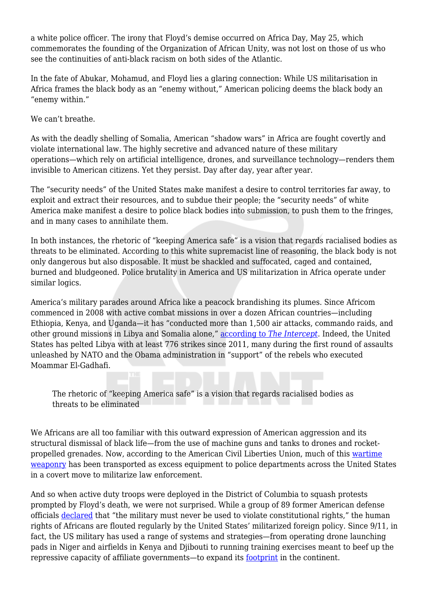a white police officer. The irony that Floyd's demise occurred on Africa Day, May 25, which commemorates the founding of the Organization of African Unity, was not lost on those of us who see the continuities of anti-black racism on both sides of the Atlantic.

In the fate of Abukar, Mohamud, and Floyd lies a glaring connection: While US militarisation in Africa frames the black body as an "enemy without," American policing deems the black body an "enemy within."

We can't breathe.

As with the deadly shelling of Somalia, American "shadow wars" in Africa are fought covertly and violate international law. The highly secretive and advanced nature of these military operations—which rely on artificial intelligence, drones, and surveillance technology—renders them invisible to American citizens. Yet they persist. Day after day, year after year.

The "security needs" of the United States make manifest a desire to control territories far away, to exploit and extract their resources, and to subdue their people; the "security needs" of white America make manifest a desire to police black bodies into submission, to push them to the fringes, and in many cases to annihilate them.

In both instances, the rhetoric of "keeping America safe" is a vision that regards racialised bodies as threats to be eliminated. According to this white supremacist line of reasoning, the black body is not only dangerous but also disposable. It must be shackled and suffocated, caged and contained, burned and bludgeoned. Police brutality in America and US militarization in Africa operate under similar logics.

America's military parades around Africa like a peacock brandishing its plumes. Since Africom commenced in 2008 with active combat missions in over a dozen African countries—including Ethiopia, Kenya, and Uganda—it has "conducted more than 1,500 air attacks, commando raids, and other ground missions in Libya and Somalia alone," [according to](https://bit.ly/3f4ZonD) *[The Intercept](https://bit.ly/3f4ZonD)*. Indeed, the United States has pelted Libya with at least 776 strikes since 2011, many during the first round of assaults unleashed by NATO and the Obama administration in "support" of the rebels who executed Moammar El-Gadhafi.

The rhetoric of "keeping America safe" is a vision that regards racialised bodies as threats to be eliminated

We Africans are all too familiar with this outward expression of American aggression and its structural dismissal of black life—from the use of machine guns and tanks to drones and rocketpropelled grenades. Now, according to the American Civil Liberties Union, much of this [wartime](https://www.aclu.org/issues/criminal-law-reform/reforming-police/war-comes-home?redirect=war-comes-home-excessive-militarization-american-policing) [weaponry](https://www.aclu.org/issues/criminal-law-reform/reforming-police/war-comes-home?redirect=war-comes-home-excessive-militarization-american-policing) has been transported as excess equipment to police departments across the United States in a covert move to militarize law enforcement.

And so when active duty troops were deployed in the District of Columbia to squash protests prompted by Floyd's death, we were not surprised. While a group of 89 former American defense officials [declared](https://wapo.st/30jkfzl) that "the military must never be used to violate constitutional rights," the human rights of Africans are flouted regularly by the United States' militarized foreign policy. Since 9/11, in fact, the US military has used a range of systems and strategies—from operating drone launching pads in Niger and airfields in Kenya and Djibouti to running training exercises meant to beef up the repressive capacity of affiliate governments—to expand its [footprint](https://theintercept.com/drone-papers/target-africa/) in the continent.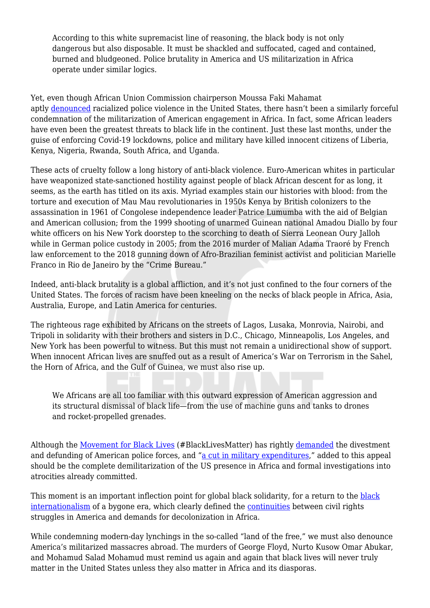According to this white supremacist line of reasoning, the black body is not only dangerous but also disposable. It must be shackled and suffocated, caged and contained, burned and bludgeoned. Police brutality in America and US militarization in Africa operate under similar logics.

Yet, even though African Union Commission chairperson Moussa Faki Mahamat aptly [denounced](https://au.int/en/pressreleases/20200529/statement-chairperson-following-murder-george-floyd-usa) racialized police violence in the United States, there hasn't been a similarly forceful condemnation of the militarization of American engagement in Africa. In fact, some African leaders have even been the greatest threats to black life in the continent. Just these last months, under the guise of enforcing Covid-19 lockdowns, police and military have killed innocent citizens of Liberia, Kenya, Nigeria, Rwanda, South Africa, and Uganda.

These acts of cruelty follow a long history of anti-black violence. Euro-American whites in particular have weaponized state-sanctioned hostility against people of black African descent for as long, it seems, as the earth has titled on its axis. Myriad examples stain our histories with blood: from the torture and execution of Mau Mau revolutionaries in 1950s Kenya by British colonizers to the assassination in 1961 of Congolese independence leader Patrice Lumumba with the aid of Belgian and American collusion; from the 1999 shooting of unarmed Guinean national Amadou Diallo by four white officers on his New York doorstep to the scorching to death of Sierra Leonean Oury Jalloh while in German police custody in 2005; from the 2016 murder of Malian Adama Traoré by French law enforcement to the 2018 gunning down of Afro-Brazilian feminist activist and politician Marielle Franco in Rio de Janeiro by the "Crime Bureau."

Indeed, anti-black brutality is a global affliction, and it's not just confined to the four corners of the United States. The forces of racism have been kneeling on the necks of black people in Africa, Asia, Australia, Europe, and Latin America for centuries.

The righteous rage exhibited by Africans on the streets of Lagos, Lusaka, Monrovia, Nairobi, and Tripoli in solidarity with their brothers and sisters in D.C., Chicago, Minneapolis, Los Angeles, and New York has been powerful to witness. But this must not remain a unidirectional show of support. When innocent African lives are snuffed out as a result of America's War on Terrorism in the Sahel, the Horn of Africa, and the Gulf of Guinea, we must also rise up.

We Africans are all too familiar with this outward expression of American aggression and its structural dismissal of black life—from the use of machine guns and tanks to drones and rocket-propelled grenades.

Although the [Movement for Black Lives](https://m4bl.org/week-of-action/) (#BlackLivesMatter) has rightly [demanded](https://blacklivesmatter.com/defundthepolice/) the divestment and defunding of American police forces, and ["a cut in military expenditures,](https://m4bl.org/policy-platforms/invest-divest/)" added to this appeal should be the complete demilitarization of the US presence in Africa and formal investigations into atrocities already committed.

This moment is an important inflection point for global black solidarity, for a return to the [black](https://www.ozy.com/true-and-stories/when-black-power-went-global/69483/?utm_term=OZY&utm_source=Sailthru&utm_medium=email&utm_campaign=PDB%20%282020-06-07%2019:06:38%29&utm_content=Final) [internationalism](https://www.ozy.com/true-and-stories/when-black-power-went-global/69483/?utm_term=OZY&utm_source=Sailthru&utm_medium=email&utm_campaign=PDB%20%282020-06-07%2019:06:38%29&utm_content=Final) of a bygone era, which clearly defined the [continuities](https://au.int/sites/default/files/decisions/9514-1964_ahg_res_1-24_i_e.pdf) between civil rights struggles in America and demands for decolonization in Africa.

While condemning modern-day lynchings in the so-called "land of the free," we must also denounce America's militarized massacres abroad. The murders of George Floyd, Nurto Kusow Omar Abukar, and Mohamud Salad Mohamud must remind us again and again that black lives will never truly matter in the United States unless they also matter in Africa and its diasporas.